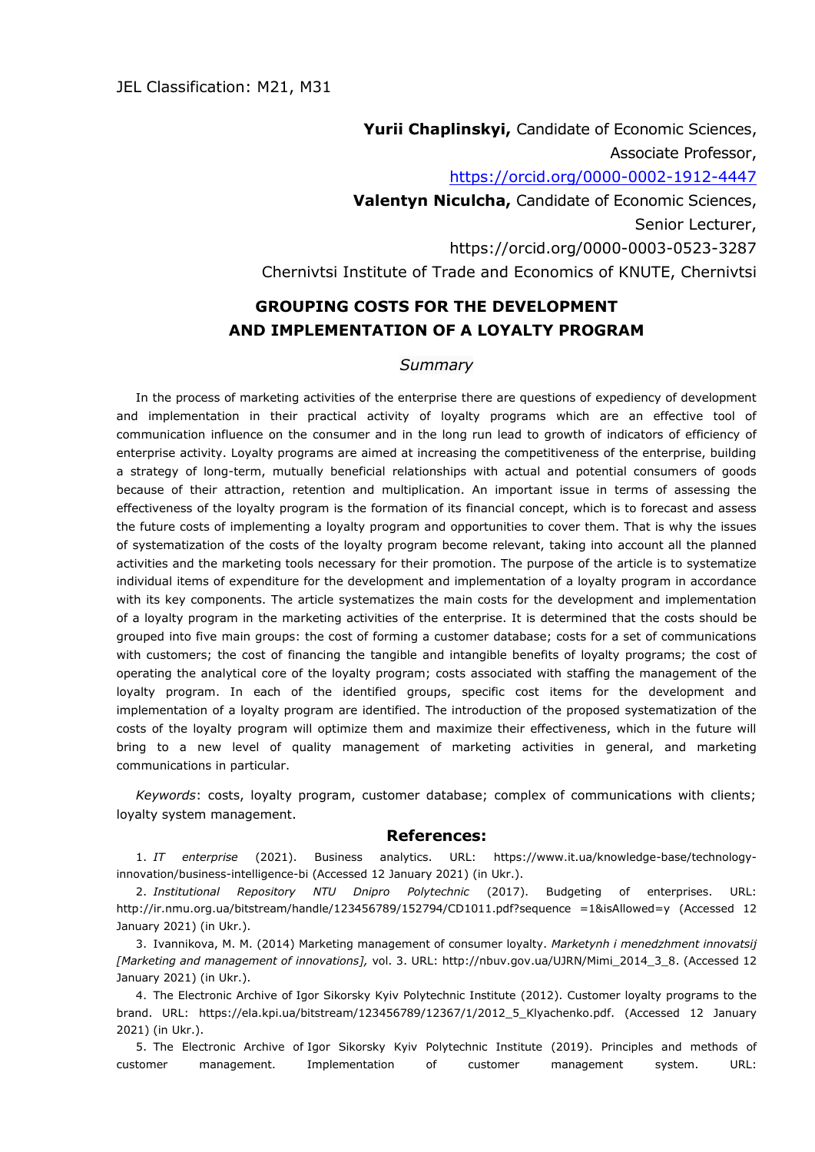**Yurii Chaplinskyі,** Candidate of Economic Sciences, Associate Professor, <https://orcid.org/0000-0002-1912-4447> **Valentyn Niculcha,** Candidate of Economic Sciences, Senior Lecturer, https://orcid.org/0000-0003-0523-3287 Chernivtsi Institute of Trade and Economics of KNUTE, Chernivtsi

## **GROUPING COSTS FOR THE DEVELOPMENT AND IMPLEMENTATION OF A LOYALTY PROGRAM**

## *Summary*

In the process of marketing activities of the enterprise there are questions of expediency of development and implementation in their practical activity of loyalty programs which are an effective tool of communication influence on the consumer and in the long run lead to growth of indicators of efficiency of enterprise activity. Loyalty programs are aimed at increasing the competitiveness of the enterprise, building a strategy of long-term, mutually beneficial relationships with actual and potential consumers of goods because of their attraction, retention and multiplication. An important issue in terms of assessing the effectiveness of the loyalty program is the formation of its financial concept, which is to forecast and assess the future costs of implementing a loyalty program and opportunities to cover them. That is why the issues of systematization of the costs of the loyalty program become relevant, taking into account all the planned activities and the marketing tools necessary for their promotion. The purpose of the article is to systematize individual items of expenditure for the development and implementation of a loyalty program in accordance with its key components. The article systematizes the main costs for the development and implementation of a loyalty program in the marketing activities of the enterprise. It is determined that the costs should be grouped into five main groups: the cost of forming a customer database; costs for a set of communications with customers; the cost of financing the tangible and intangible benefits of loyalty programs; the cost of operating the analytical core of the loyalty program; costs associated with staffing the management of the loyalty program. In each of the identified groups, specific cost items for the development and implementation of a loyalty program are identified. The introduction of the proposed systematization of the costs of the loyalty program will optimize them and maximize their effectiveness, which in the future will bring to a new level of quality management of marketing activities in general, and marketing communications in particular.

*Keywords*: costs, loyalty program, customer database; complex of communications with clients; loyalty system management.

## **References:**

1. *IT enterprise* (2021). Business analytics. URL: https://www.it.ua/knowledge-base/technologyinnovation/business-intelligence-bi (Accessed 12 January 2021) (in Ukr.).

2. *Institutional Repository NTU Dnipro Polytechnic* (2017). Budgeting of enterprises. URL: [http://ir.nmu.org.ua/bitstream/handle/123456789/152794/CD1011.pdf?sequence =1&isAllowed=y](http://ir.nmu.org.ua/bitstream/handle/123456789/152794/CD1011.pdf?sequence%20=1&isAllowed=y) (Accessed 12 January 2021) (in Ukr.).

3. Ivannikova, M. M. (2014) Marketing management of consumer loyalty. *Marketynh i menedzhment innovatsij [Marketing and management of innovations],* vol. 3. URL: [http://nbuv.gov.ua/UJRN/Mimi\\_2014\\_3\\_8.](http://nbuv.gov.ua/UJRN/Mimi_2014_3_8) (Accessed 12 January 2021) (in Ukr.).

4. The Electronic Archive of [Igor Sikorsky Kyiv Polytechnic Institute](https://kpi.ua/en) (2012). Customer loyalty programs to the brand. URL: [https://ela.kpi.ua/bitstream/123456789/12367/1/2012\\_5\\_Klyachenko.pdf.](https://ela.kpi.ua/bitstream/123456789/12367/1/2012_5_Klyachenko.pdf) (Accessed 12 January 2021) (in Ukr.).

5. The Electronic Archive of [Igor Sikorsky Kyiv Polytechnic Institute](https://kpi.ua/en) (2019). Principles and methods of customer management. Implementation of customer management system. URL: